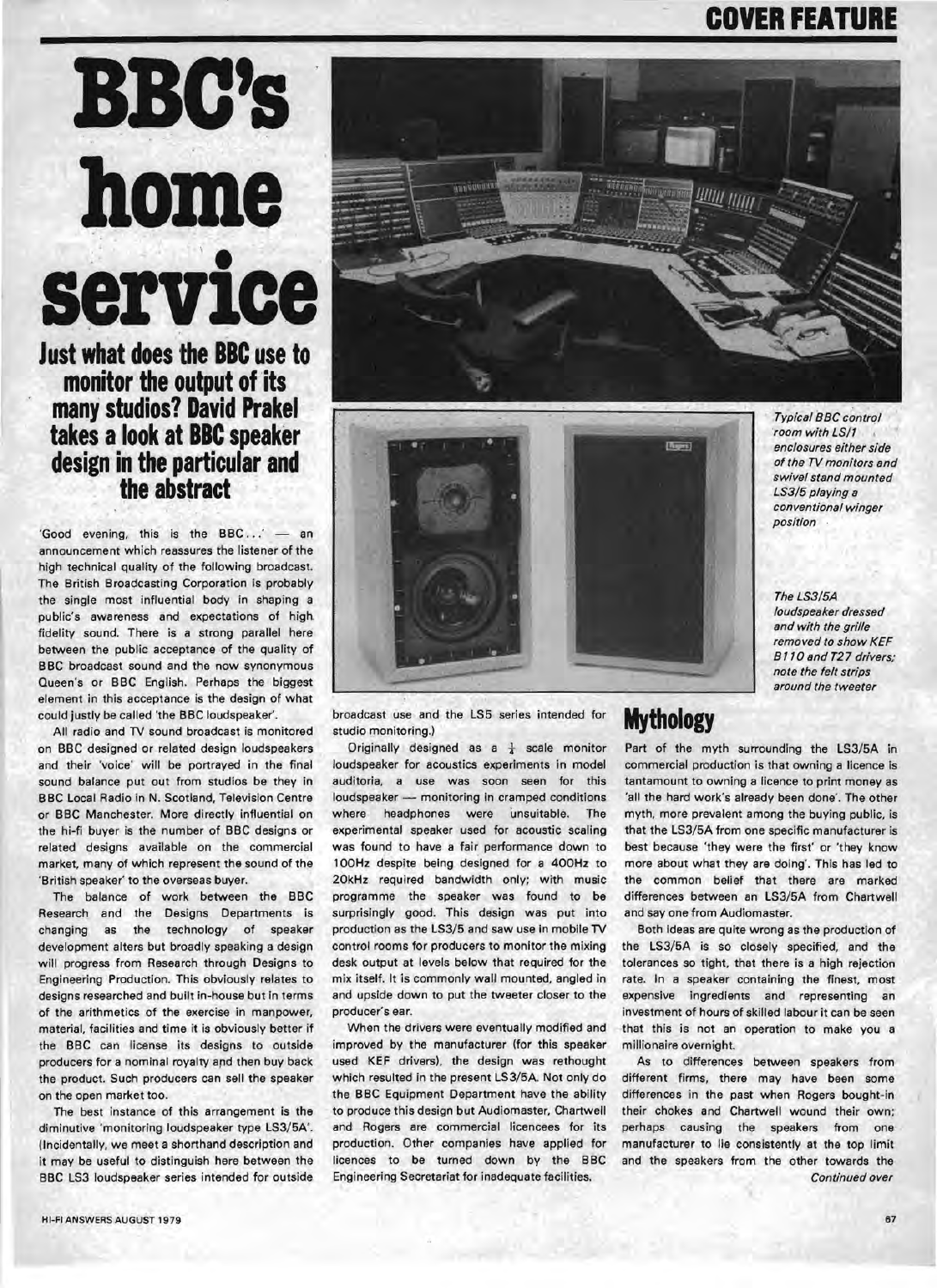# **COVER FEATURE**

# **BBC's home**  '. **servIce**

**Just what does the BBC use to monitor the output** of its **many studios? David Prakel**  takes a look at **BBC** speaker **design in the particular and the abstract** 

'Good evening, this is the  $BBC \dots'$  - an announcement which reassures the listener of the high technical quality of the following broadcast, The British Broadcasting Corporation is probably the single most influential body in shaping a public's awareness and expectations of high. fidelity sound, There is a strong parallel here between the public acceptance of the quality of BBC broadcast sound and the now synonymous Queen's or BBC English, Perhaps the biggest element in this acceptance is the design of what could justly be called 'the BBC loudspeaker'.

All radio and TV sound broadcast is monitored on BBC designed or related design loudspeakers and their 'voice' will be portrayed in the final sound balance put out from studios be they in BBC Local Radio in N. Scotland, Television Centre or BBC Manchester, More directly influential on the hi-fi buyer is the number of BBC designs or related designs available on the commercial market, many of which represent the sound of the 'British speaker' to the overseas buyer.

The balance of work between the BBC Research and the Designs Departments is changing as the technology of speaker development alters but broadly speaking a design will progress from Research through Designs to Engineering Production. This obviously relates to designs researched and built in-house but in terms of the arithmetics of the exercise in manpower, material, facilities and time it is obviously better if the BBC can license its designs to outside producers for a nominal royalty and then buy back the product. Such producers can sell the speaker on the open market too.

The best instance of this arrangement is the diminutive 'monitoring loudspeaker type LS3/5A'. (Incidentally, we meet a shorthand description and it may be useful to distinguish here between the BBC LS3 loudspeaker series intended for outside





**Typical BBC control** room with LS/1 *enclosures either side ofthe TV monitors and swivel stand mounted*  LS3/5 *playing a conventional winger position* 

*The* LS3/5A *loudspeaker dressed and with the grille removed to show KEF B*11*0 and T27 drivers; note the felt strips around the tweeter* 

broadcast use and the LS5 series intended for studio monitoring.)

Originally designed as a  $\frac{1}{4}$  scale monitor loudspeaker for acoustics experiments in model auditoria, a use was soon seen for this loudspeaker - monitoring in cramped conditions where headphones were unsuitable. The experimental speaker used for acoustic scaling was found to have a fair performance down to 100Hz despite being designed for a 400Hz to 20kHz required bandwidth only; with music programme the speaker was found to be surprisingly good. This design was put into production as the LS3/5 and saw use in mobile TV control rooms for producers to monitor the mixing desk output at levels below that required for the mix itself. It is commonly wall mounted, angled in and upside down to put the tweeter closer to the producer's ear.

When the drivers were eventually modified and improved by the manufacturer (for this speaker used KEF drivers), the design was rethought which resulted in the present LS3/5A. Not only do the BBC Equipment Department have the ability to produce this design but Audiomaster, Chartwell and Rogers are commercial licencees for its production. Other companies have applied for licences to be turned down by the BBC Engineering Secretariat for inadequate facilities.

#### **Mythology**

Part of the myth surrounding the LS3/5A in commercial production is that owning a licence is tantamount to owning a licence to print money as 'all the hard work's already been done'. The other myth, more prevalent among the buying public, is that the LS3/5A from one specific manufacturer is best because 'they were the first' or 'they know more about what they are doing'. This has led to the common belief that there are marked differences between an LS3/5A from Chartwell and say one from Audiomaster.

Both ideas are quite wrong as the production of the LS3/5A is so closely specified, and the tolerances so tight, that there is a high rejection rate. In a speaker containing the finest, most expensive ingredients and representing an investment of hours of skilled labour it can be seen that this is not an operation to make you a millionaire overnight.

As to differences between speakers from different firms, there may have been some differences in the past when Rogers bought-in their chokes and Chartwell wound their own; perhaps causing the speakers from one manufacturer to lie consistently at the top limit and the speakers from the other towards the *Continued over*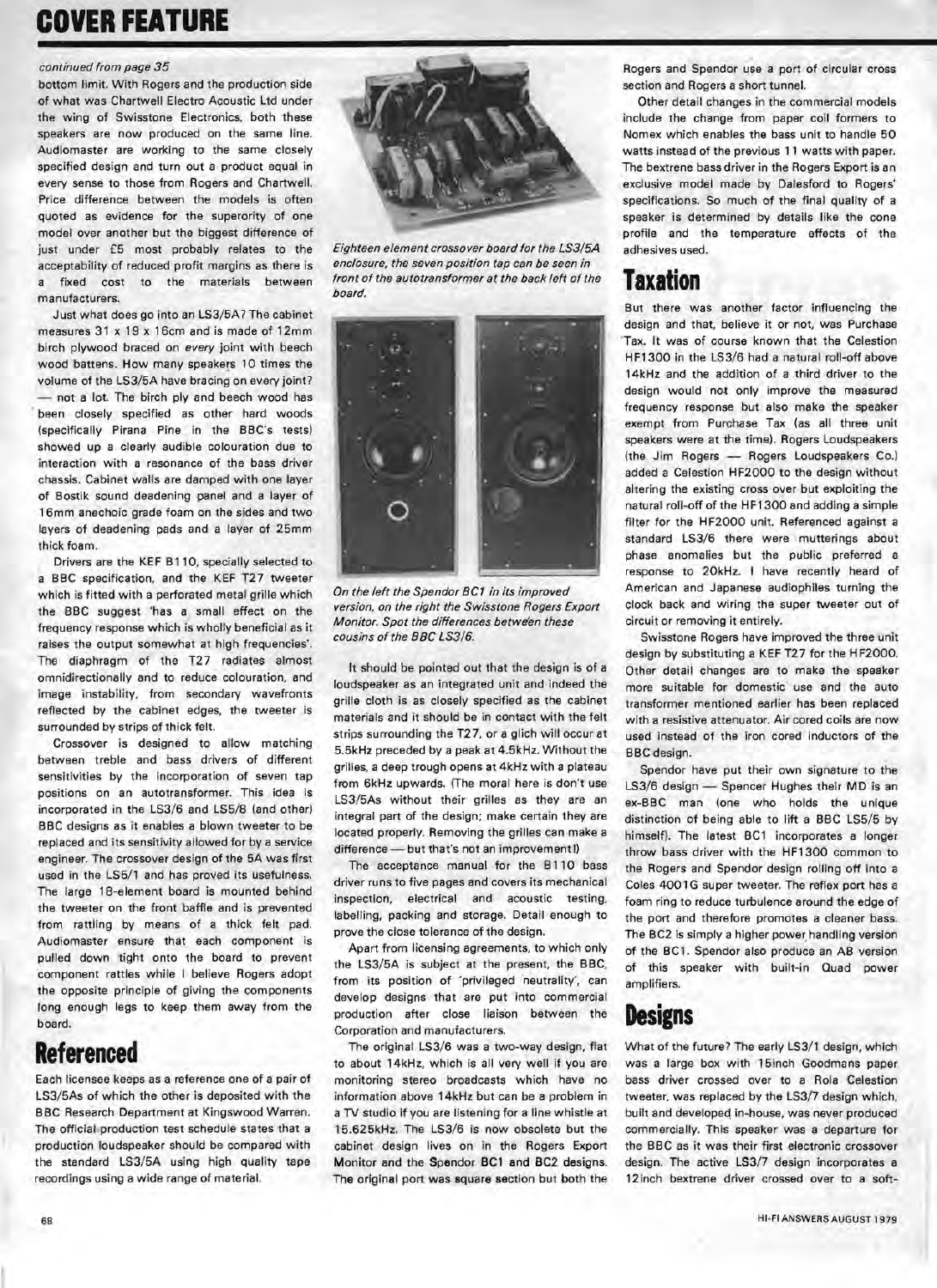# **COVER FEATURE**

#### continued from page 35

bottom limit. With Rogers and the production side of what was Chartwell Electro Acoustic Ltd under the wing of Swisstone Electronics, both these speakers are now produced on the same line. Audiomaster are working to the same closely specified design and turn out a product equal in every sense to those from Rogers and Chartwell. Price difference between the models is often quoted as evidence for the superority of one model over another but the biggest difference of just under £5 most probably relates to the acceptability of reduced profit margins as there is a fixed cost to the materials between manufacturers.

Just what does go into an LS3/5A? The cabinet measures 31 x 19 x 16cm and is made of 12mm birch plywood braced on every joint with beech wood battens, How many speakers 10 times the volume of the LS3/5A have bracing on every joint? - not a lot. The birch ply and beech wood has been closely specified as other hard woods (specifically Pirana Pine in the BBC's tests) showed up a clearly audible colouration due to interaction with a resonance of the bass driver chassis. Cabinet walls are damped with one layer of Bostik sound deadening panel and a layer of 16mm anechoic grade foam on the sides and two layers of deadening pads and a layer of 25mm thick foam,

Drivers are the KEF B11 0, specially selected to a BBC specification, and the KEF T27 tweeter which is fitted with a perforated metal grille which the BBC suggest 'has a small effect on the frequency response which is wholly beneficial as it raises the output somewhat at high frequencies'. The diaphragm of the T27 radiates almost omnidirectionally and to reduce colouration, and image instability, from secondary wavefronts reflected by the cabinet edges, the tweeter is surrounded by strips of thick felt.

Crossover is designed to allow matching between treble and bass drivers of different sensitivities by the incorporation of seven tap positions on an autotransformer. This idea is incorporated in the LS3/6 and LS5/8 (and other) BBC designs as it enables a blown tweeter to be replaced and its sensitivity allowed for by a service engineer. The crossover design of the 5A was first used in the LS5/1 and has proved its usefulness. The large 18-element board is mounted behind the tweeter on the front baffle and is prevented from rattling by means of a thick felt pad. Audiomaster ensure that each component is pulled down tight onto the board to prevent component rattles while I believe Rogers adopt the opposite principle of giving the components long enough legs to keep them away from the board.

#### **,Referenced**

Each licensee keeps as a reference one of a pair of LS3/5As of which the other is deposited with the BBC Research Department at Kingswood Warren. The official production test schedule states that a production loudspeaker should be compared with the standard LS3/5A using high quality tape recordings using a wide range of material.



Eighteen element crossover board for the LS3/5A enclosure, the seven position tap can be seen in front of the autotransformer at the back left of the board.

On the left the Spendor BCT in its improved version, on the right the Swisstone Rogers Export Monitor. Spot the differences between these cousins of the BBC LS3/6.

It should be pointed out that the design is of a loudspeaker as an integrated unit and indeed the grille cloth is as closely specified as the cabinet materials and it should be in contact with the felt strips surrounding the T27, or a glich will occur at 5.5kHz preceded by a peak at 4.5kHz. Without the grilles, a deep trough opens at 4kHz with a plateau from 6kHz upwards. (The moral here is don't use LS3/5As without their grilles as they are an integral part of the design; make certain they are located properly. Removing the grilles can make a difference - but that's not an improvement!)

The acceptance manual for the B110 bass driver runs to five pages and covers its mechanical inspection, electrical and acoustic testing, labelling, packing and storage. Detail enough to prove the close tolerance of the design.

Apart from licensing agreements, to which only the LS3/5A is subject at the present, the BBC, from its position of 'privileged neutrality', can develop designs that are put into commercial production after close liaison between the Corporation and manufacturers.

The original LS3/6 was a two-way design, flat to about 14kHz, which is all very well if you are monitoring stereo broadcasts which have no information above 14kHz but can be a problem in a TV studio if you are listening for a line whistle at 15.625kHz. The LS3/6 is now obsolete but the cabinet design lives on in the Rogers Export Monitor and the Spendor BC1 and BC2 designs. The original port was square section but both the

Rogers and Spendor use a port of circular cross section and Rogers a short tunnel.

Other detail changes in the commercial models include the change from paper coil formers to Nomex which enables the bass unit to handle 50 watts instead of the previous 11 watts with paper. The bextrene bass driver in the Rogers Export is an exclusive model made by Dalesford to Rogers' specifications. So much of the final quality of a speaker is determined by details like the cone profile and the temperature effects of the adhesives used.

### **Taxation**

But there was another factor influencing the design and that, believe it or not, was Purchase Tax. It was of course known that the Celestion HF1300 in the LS3/6 had a natural roll-off above 14kHz and the addition of a third driver to the design would not only improve the measured frequency response but also make the speaker exempt from Purchase Tax (as all three unit speakers were at the time). Rogers Loudspeakers (the Jim Rogers - Rogers Loudspeakers Co.) added a Celestion HF2000 to the design without altering the existing cross over but exploiting the natural roll-off of the HF1300 and adding a simple filter for the HF2000 unit. Referenced against a standard LS3/6 there were mutterings about phase anomalies but the public preferred a response to 20kHz. I have recently heard of American and Japanese audiophiles turning the clock back and wiring the super tweeter out of circuit or removing it entirely.

Swisstone Rogers have improved the three unit design by substituting a KEF T27 for the HF2000. Other detail changes are to make the speaker more suitable for domestic use and the auto transformer mentioned earlier has been replaced with a resistive attenuator. Air cored coils are now used instead of the iron cored inductors of the BBC design.

Spendor have put their own signature to the LS3/6 design - Spencer Hughes their MD is an ex-BBC man (one who holds the unique distinction of being able to lift a BBC LS5/5 by himself). The latest BC1 incorporates a longer throw bass driver with the HF1300 common to the Rogers and Spendor design rolling off into a Coles 4001G super tweeter. The reflex port has a foam ring to reduce turbulence around the edge of the port and therefore promotes a cleaner bass. The BC2 is simply a higher power handling version of the BC1. Spendor also produce an AB version of this speaker with built-in Quad power amplifiers.

#### **Designs**

What of the future? The early LS3/1 design, which was a large box with 15inch Goodmans paper bass driver crossed over to a Rola Celestion tweeter, was replaced by the LS3/7 design which, built and developed in-house, was never produced commercially. This speaker was a departure for the BBC as it was their first electronic crossover design. The active LS3/7 design incorporates a 12 inch bextrene driver crossed over to a soft-